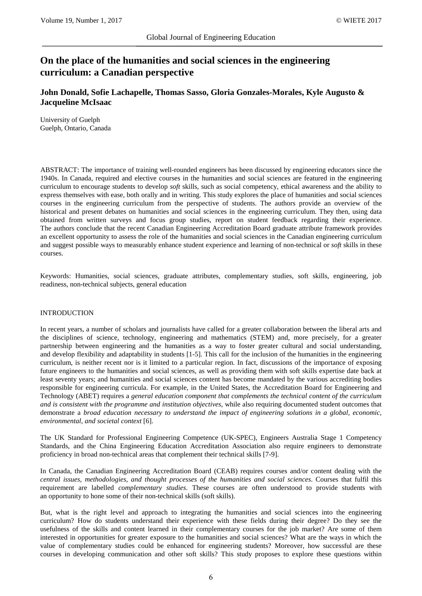# **On the place of the humanities and social sciences in the engineering curriculum: a Canadian perspective**

**John Donald, Sofie Lachapelle, Thomas Sasso, Gloria Gonzales-Morales, Kyle Augusto & Jacqueline McIsaac**

University of Guelph Guelph, Ontario, Canada

ABSTRACT: The importance of training well-rounded engineers has been discussed by engineering educators since the 1940s. In Canada, required and elective courses in the humanities and social sciences are featured in the engineering curriculum to encourage students to develop *soft* skills, such as social competency, ethical awareness and the ability to express themselves with ease, both orally and in writing. This study explores the place of humanities and social sciences courses in the engineering curriculum from the perspective of students. The authors provide an overview of the historical and present debates on humanities and social sciences in the engineering curriculum. They then, using data obtained from written surveys and focus group studies, report on student feedback regarding their experience. The authors conclude that the recent Canadian Engineering Accreditation Board graduate attribute framework provides an excellent opportunity to assess the role of the humanities and social sciences in the Canadian engineering curriculum and suggest possible ways to measurably enhance student experience and learning of non-technical or *soft* skills in these courses.

Keywords: Humanities, social sciences, graduate attributes, complementary studies, soft skills, engineering, job readiness, non-technical subjects, general education

# INTRODUCTION

In recent years, a number of scholars and journalists have called for a greater collaboration between the liberal arts and the disciplines of science, technology, engineering and mathematics (STEM) and, more precisely, for a greater partnership between engineering and the humanities as a way to foster greater cultural and social understanding, and develop flexibility and adaptability in students [1-5]. This call for the inclusion of the humanities in the engineering curriculum, is neither recent nor is it limited to a particular region. In fact, discussions of the importance of exposing future engineers to the humanities and social sciences, as well as providing them with soft skills expertise date back at least seventy years; and humanities and social sciences content has become mandated by the various accrediting bodies responsible for engineering curricula. For example, in the United States, the Accreditation Board for Engineering and Technology (ABET) requires a *general education component that complements the technical content of the curriculum and is consistent with the programme and institution objectives*, while also requiring documented student outcomes that demonstrate a *broad education necessary to understand the impact of engineering solutions in a global, economic, environmental, and societal context* [6].

The UK Standard for Professional Engineering Competence (UK-SPEC), Engineers Australia Stage 1 Competency Standards, and the China Engineering Education Accreditation Association also require engineers to demonstrate proficiency in broad non-technical areas that complement their technical skills [7-9].

In Canada, the Canadian Engineering Accreditation Board (CEAB) requires courses and/or content dealing with the *central issues, methodologies, and thought processes of the humanities and social sciences*. Courses that fulfil this requirement are labelled *complementary studies*. These courses are often understood to provide students with an opportunity to hone some of their non-technical skills (soft skills).

But, what is the right level and approach to integrating the humanities and social sciences into the engineering curriculum? How do students understand their experience with these fields during their degree? Do they see the usefulness of the skills and content learned in their complementary courses for the job market? Are some of them interested in opportunities for greater exposure to the humanities and social sciences? What are the ways in which the value of complementary studies could be enhanced for engineering students? Moreover, how successful are these courses in developing communication and other soft skills? This study proposes to explore these questions within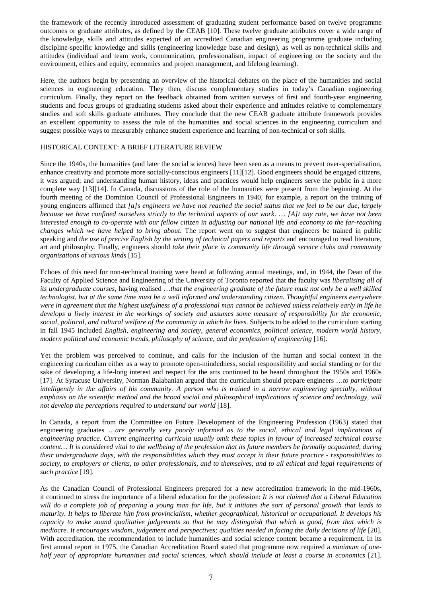the framework of the recently introduced assessment of graduating student performance based on twelve programme outcomes or graduate attributes, as defined by the CEAB [10]. These twelve graduate attributes cover a wide range of the knowledge, skills and attitudes expected of an accredited Canadian engineering programme graduate including discipline-specific knowledge and skills (engineering knowledge base and design), as well as non-technical skills and attitudes (individual and team work, communication, professionalism, impact of engineering on the society and the environment, ethics and equity, economics and project management, and lifelong learning).

Here, the authors begin by presenting an overview of the historical debates on the place of the humanities and social sciences in engineering education. They then, discuss complementary studies in today's Canadian engineering curriculum. Finally, they report on the feedback obtained from written surveys of first and fourth-year engineering students and focus groups of graduating students asked about their experience and attitudes relative to complementary studies and soft skills graduate attributes. They conclude that the new CEAB graduate attribute framework provides an excellent opportunity to assess the role of the humanities and social sciences in the engineering curriculum and suggest possible ways to measurably enhance student experience and learning of non-technical or soft skills.

# HISTORICAL CONTEXT: A BRIEF LITERATURE REVIEW

Since the 1940s, the humanities (and later the social sciences) have been seen as a means to prevent over-specialisation, enhance creativity and promote more socially-conscious engineers [11][12]. Good engineers should be engaged citizens, it was argued; and understanding human history, ideas and practices would help engineers serve the public in a more complete way [13][14]. In Canada, discussions of the role of the humanities were present from the beginning. At the fourth meeting of the Dominion Council of Professional Engineers in 1940, for example, a report on the training of young engineers affirmed that *[a]s engineers we have not reached the social status that we feel to be our due, largely because we have confined ourselves strictly to the technical aspects of our work*. … *[A]t any rate, we have not been interested enough to co-operate with our fellow citizen in adjusting our national life and economy to the far-reaching changes which we have helped to bring about*. The report went on to suggest that engineers be trained in public speaking and *the use of precise English by the writing of technical papers and reports* and encouraged to read literature, art and philosophy. Finally, engineers should *take their place in community life through service clubs and community organisations of various kinds* [15].

Echoes of this need for non-technical training were heard at following annual meetings, and, in 1944, the Dean of the Faculty of Applied Science and Engineering of the University of Toronto reported that the faculty was *liberalising all of its undergraduate courses*, having realised …*that the engineering graduate of the future must not only be a well skilled technologist, but at the same time must be a well informed and understanding citizen. Thoughtful engineers everywhere were in agreement that the highest usefulness of a professional man cannot be achieved unless relatively early in life he develops a lively interest in the workings of society and assumes some measure of responsibility for the economic, social, political, and cultural welfare of the community in which he lives*. Subjects to be added to the curriculum starting in fall 1945 included *English, engineering and society, general economics, political science, modern world history, modern political and economic trends, philosophy of science, and the profession of engineering* [16].

Yet the problem was perceived to continue, and calls for the inclusion of the human and social context in the engineering curriculum either as a way to promote open-mindedness, social responsibility and social standing or for the sake of developing a life-long interest and respect for the arts continued to be heard throughout the 1950s and 1960s [17]. At Syracuse University, Norman Balabanian argued that the curriculum should prepare engineers …*to participate*  intelligently in the affairs of his community. A person who is trained in a narrow engineering specialty, without *emphasis on the scientific method and the broad social and philosophical implications of science and technology, will not develop the perceptions required to understand our world* [18].

In Canada, a report from the Committee on Future Development of the Engineering Profession (1963) stated that engineering graduates …*are generally very poorly informed as to the social, ethical and legal implications of engineering practice. Current engineering curricula usually omit these topics in favour of increased technical course content… It is considered vital to the wellbeing of the profession that its future members be formally acquainted, during their undergraduate days, with the responsibilities which they must accept in their future practice - responsibilities to society, to employers or clients, to other professionals, and to themselves, and to all ethical and legal requirements of such practice* [19].

As the Canadian Council of Professional Engineers prepared for a new accreditation framework in the mid-1960s, it continued to stress the importance of a liberal education for the profession: *It is not claimed that a Liberal Education will do a complete job of preparing a young man for life, but it initiates the sort of personal growth that leads to maturity. It helps to liberate him from provincialism, whether geographical, historical or occupational. It develops his capacity to make sound qualitative judgements so that he may distinguish that which is good, from that which is mediocre. It encourages wisdom, judgement and perspectives; qualities needed in facing the daily decisions of life* [20]. With accreditation, the recommendation to include humanities and social science content became a requirement. In its first annual report in 1975, the Canadian Accreditation Board stated that programme now required a *minimum of onehalf year of appropriate humanities and social sciences, which should include at least a course in economics* [21].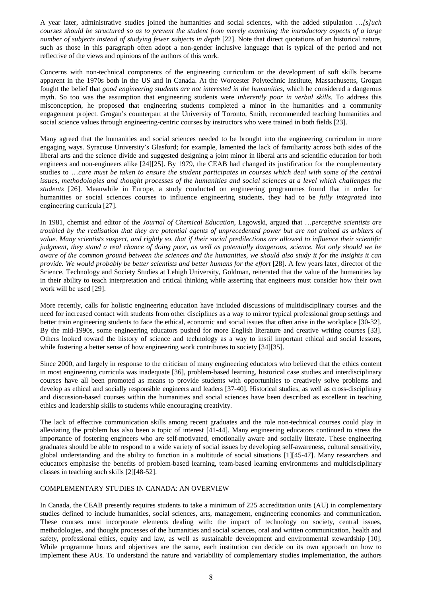A year later, administrative studies joined the humanities and social sciences, with the added stipulation …*[s]uch courses should be structured so as to prevent the student from merely examining the introductory aspects of a large number of subjects instead of studying fewer subjects in depth* [22]. Note that direct quotations of an historical nature, such as those in this paragraph often adopt a non-gender inclusive language that is typical of the period and not reflective of the views and opinions of the authors of this work.

Concerns with non-technical components of the engineering curriculum or the development of soft skills became apparent in the 1970s both in the US and in Canada. At the Worcester Polytechnic Institute, Massachusetts, Grogan fought the belief that *good engineering students are not interested in the humanities*, which he considered a dangerous myth. So too was the assumption that engineering students were *inherently poor in verbal skills.* To address this misconception, he proposed that engineering students completed a minor in the humanities and a community engagement project. Grogan's counterpart at the University of Toronto, Smith, recommended teaching humanities and social science values through engineering-centric courses by instructors who were trained in both fields [23].

Many agreed that the humanities and social sciences needed to be brought into the engineering curriculum in more engaging ways. Syracuse University's Glasford; for example, lamented the lack of familiarity across both sides of the liberal arts and the science divide and suggested designing a joint minor in liberal arts and scientific education for both engineers and non-engineers alike [24][25]. By 1979, the CEAB had changed its justification for the complementary studies to …*care must be taken to ensure the student participates in courses which deal with some of the central issues, methodologies and thought processes of the humanities and social sciences at a level which challenges the students* [26]. Meanwhile in Europe, a study conducted on engineering programmes found that in order for humanities or social sciences courses to influence engineering students, they had to be *fully integrated* into engineering curricula [27].

In 1981, chemist and editor of the *Journal of Chemical Education*, Lagowski, argued that …*perceptive scientists are troubled by the realisation that they are potential agents of unprecedented power but are not trained as arbiters of value. Many scientists suspect, and rightly so, that if their social predilections are allowed to influence their scientific judgment, they stand a real chance of doing poor, as well as potentially dangerous, science. Not only should we be aware of the common ground between the sciences and the humanities, we should also study it for the insights it can provide. We would probably be better scientists and better humans for the effort* [28]. A few years later, director of the Science, Technology and Society Studies at Lehigh University, Goldman, reiterated that the value of the humanities lay in their ability to teach interpretation and critical thinking while asserting that engineers must consider how their own work will be used [29].

More recently, calls for holistic engineering education have included discussions of multidisciplinary courses and the need for increased contact with students from other disciplines as a way to mirror typical professional group settings and better train engineering students to face the ethical, economic and social issues that often arise in the workplace [30-32]. By the mid-1990s, some engineering educators pushed for more English literature and creative writing courses [33]. Others looked toward the history of science and technology as a way to instil important ethical and social lessons, while fostering a better sense of how engineering work contributes to society [34][35].

Since 2000, and largely in response to the criticism of many engineering educators who believed that the ethics content in most engineering curricula was inadequate [36], problem-based learning, historical case studies and interdisciplinary courses have all been promoted as means to provide students with opportunities to creatively solve problems and develop as ethical and socially responsible engineers and leaders [37-40]. Historical studies, as well as cross-disciplinary and discussion-based courses within the humanities and social sciences have been described as excellent in teaching ethics and leadership skills to students while encouraging creativity.

The lack of effective communication skills among recent graduates and the role non-technical courses could play in alleviating the problem has also been a topic of interest [41-44]. Many engineering educators continued to stress the importance of fostering engineers who are self-motivated, emotionally aware and socially literate. These engineering graduates should be able to respond to a wide variety of social issues by developing self-awareness, cultural sensitivity, global understanding and the ability to function in a multitude of social situations [1][45-47]. Many researchers and educators emphasise the benefits of problem-based learning, team-based learning environments and multidisciplinary classes in teaching such skills [2][48-52].

# COMPLEMENTARY STUDIES IN CANADA: AN OVERVIEW

In Canada, the CEAB presently requires students to take a minimum of 225 accreditation units (AU) in complementary studies defined to include humanities, social sciences, arts, management, engineering economics and communication. These courses must incorporate elements dealing with: the impact of technology on society, central issues, methodologies, and thought processes of the humanities and social sciences, oral and written communication, health and safety, professional ethics, equity and law, as well as sustainable development and environmental stewardship [10]. While programme hours and objectives are the same, each institution can decide on its own approach on how to implement these AUs. To understand the nature and variability of complementary studies implementation, the authors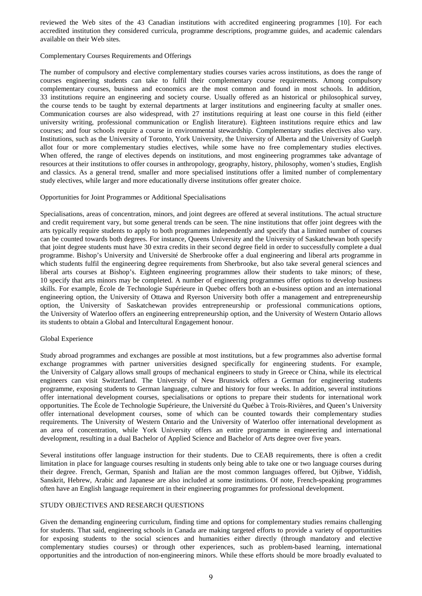reviewed the Web sites of the 43 Canadian institutions with accredited engineering programmes [10]. For each accredited institution they considered curricula, programme descriptions, programme guides, and academic calendars available on their Web sites.

## Complementary Courses Requirements and Offerings

The number of compulsory and elective complementary studies courses varies across institutions, as does the range of courses engineering students can take to fulfil their complementary course requirements. Among compulsory complementary courses, business and economics are the most common and found in most schools. In addition, 33 institutions require an engineering and society course. Usually offered as an historical or philosophical survey, the course tends to be taught by external departments at larger institutions and engineering faculty at smaller ones. Communication courses are also widespread, with 27 institutions requiring at least one course in this field (either university writing, professional communication or English literature). Eighteen institutions require ethics and law courses; and four schools require a course in environmental stewardship. Complementary studies electives also vary. Institutions, such as the University of Toronto, York University, the University of Alberta and the University of Guelph allot four or more complementary studies electives, while some have no free complementary studies electives. When offered, the range of electives depends on institutions, and most engineering programmes take advantage of resources at their institutions to offer courses in anthropology, geography, history, philosophy, women's studies, English and classics. As a general trend, smaller and more specialised institutions offer a limited number of complementary study electives, while larger and more educationally diverse institutions offer greater choice.

#### Opportunities for Joint Programmes or Additional Specialisations

Specialisations, areas of concentration, minors, and joint degrees are offered at several institutions. The actual structure and credit requirement vary, but some general trends can be seen. The nine institutions that offer joint degrees with the arts typically require students to apply to both programmes independently and specify that a limited number of courses can be counted towards both degrees. For instance, Queens University and the University of Saskatchewan both specify that joint degree students must have 30 extra credits in their second degree field in order to successfully complete a dual programme. Bishop's University and Université de Sherbrooke offer a dual engineering and liberal arts programme in which students fulfil the engineering degree requirements from Sherbrooke, but also take several general sciences and liberal arts courses at Bishop's. Eighteen engineering programmes allow their students to take minors; of these, 10 specify that arts minors may be completed. A number of engineering programmes offer options to develop business skills. For example, École de Technologie Supérieure in Quebec offers both an e-business option and an international engineering option, the University of Ottawa and Ryerson University both offer a management and entrepreneurship option, the University of Saskatchewan provides entrepreneurship or professional communications options, the University of Waterloo offers an engineering entrepreneurship option, and the University of Western Ontario allows its students to obtain a Global and Intercultural Engagement honour.

#### Global Experience

Study abroad programmes and exchanges are possible at most institutions, but a few programmes also advertise formal exchange programmes with partner universities designed specifically for engineering students. For example, the University of Calgary allows small groups of mechanical engineers to study in Greece or China, while its electrical engineers can visit Switzerland. The University of New Brunswick offers a German for engineering students programme, exposing students to German language, culture and history for four weeks. In addition, several institutions offer international development courses, specialisations or options to prepare their students for international work opportunities. The École de Technologie Supérieure, the Université du Québec à Trois-Rivières, and Queen's University offer international development courses, some of which can be counted towards their complementary studies requirements. The University of Western Ontario and the University of Waterloo offer international development as an area of concentration, while York University offers an entire programme in engineering and international development, resulting in a dual Bachelor of Applied Science and Bachelor of Arts degree over five years.

Several institutions offer language instruction for their students. Due to CEAB requirements, there is often a credit limitation in place for language courses resulting in students only being able to take one or two language courses during their degree. French, German, Spanish and Italian are the most common languages offered, but Ojibwe, Yiddish, Sanskrit, Hebrew, Arabic and Japanese are also included at some institutions. Of note, French-speaking programmes often have an English language requirement in their engineering programmes for professional development.

#### STUDY OBJECTIVES AND RESEARCH QUESTIONS

Given the demanding engineering curriculum, finding time and options for complementary studies remains challenging for students. That said, engineering schools in Canada are making targeted efforts to provide a variety of opportunities for exposing students to the social sciences and humanities either directly (through mandatory and elective complementary studies courses) or through other experiences, such as problem-based learning, international opportunities and the introduction of non-engineering minors. While these efforts should be more broadly evaluated to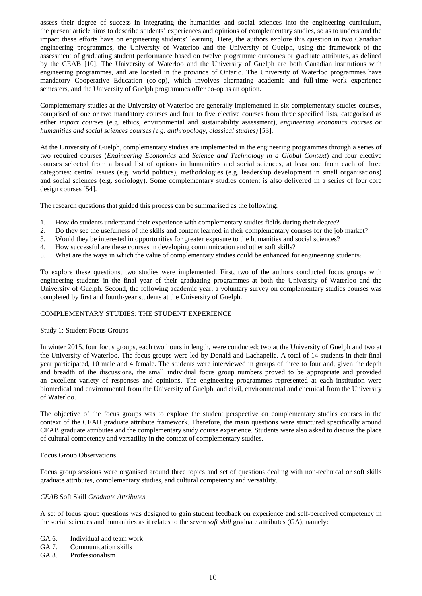assess their degree of success in integrating the humanities and social sciences into the engineering curriculum, the present article aims to describe students' experiences and opinions of complementary studies, so as to understand the impact these efforts have on engineering students' learning. Here, the authors explore this question in two Canadian engineering programmes, the University of Waterloo and the University of Guelph, using the framework of the assessment of graduating student performance based on twelve programme outcomes or graduate attributes, as defined by the CEAB [10]. The University of Waterloo and the University of Guelph are both Canadian institutions with engineering programmes, and are located in the province of Ontario. The University of Waterloo programmes have mandatory Cooperative Education (co-op), which involves alternating academic and full-time work experience semesters, and the University of Guelph programmes offer co-op as an option.

Complementary studies at the University of Waterloo are generally implemented in six complementary studies courses, comprised of one or two mandatory courses and four to five elective courses from three specified lists, categorised as either *impact courses* (e.g. ethics, environmental and sustainability assessment), *engineering economics courses or humanities and social sciences courses (e.g. anthropology, classical studies)* [53].

At the University of Guelph, complementary studies are implemented in the engineering programmes through a series of two required courses (*Engineering Economics* and *Science and Technology in a Global Context*) and four elective courses selected from a broad list of options in humanities and social sciences, at least one from each of three categories: central issues (e.g. world politics), methodologies (e.g. leadership development in small organisations) and social sciences (e.g. sociology). Some complementary studies content is also delivered in a series of four core design courses [54].

The research questions that guided this process can be summarised as the following:

- 1. How do students understand their experience with complementary studies fields during their degree?
- 2. Do they see the usefulness of the skills and content learned in their complementary courses for the job market?
- 3. Would they be interested in opportunities for greater exposure to the humanities and social sciences?
- 4. How successful are these courses in developing communication and other soft skills?
- 5. What are the ways in which the value of complementary studies could be enhanced for engineering students?

To explore these questions, two studies were implemented. First, two of the authors conducted focus groups with engineering students in the final year of their graduating programmes at both the University of Waterloo and the University of Guelph. Second, the following academic year, a voluntary survey on complementary studies courses was completed by first and fourth-year students at the University of Guelph.

# COMPLEMENTARY STUDIES: THE STUDENT EXPERIENCE

#### Study 1: Student Focus Groups

In winter 2015, four focus groups, each two hours in length, were conducted; two at the University of Guelph and two at the University of Waterloo. The focus groups were led by Donald and Lachapelle. A total of 14 students in their final year participated, 10 male and 4 female. The students were interviewed in groups of three to four and, given the depth and breadth of the discussions, the small individual focus group numbers proved to be appropriate and provided an excellent variety of responses and opinions. The engineering programmes represented at each institution were biomedical and environmental from the University of Guelph, and civil, environmental and chemical from the University of Waterloo.

The objective of the focus groups was to explore the student perspective on complementary studies courses in the context of the CEAB graduate attribute framework. Therefore, the main questions were structured specifically around CEAB graduate attributes and the complementary study course experience. Students were also asked to discuss the place of cultural competency and versatility in the context of complementary studies.

#### Focus Group Observations

Focus group sessions were organised around three topics and set of questions dealing with non-technical or soft skills graduate attributes, complementary studies, and cultural competency and versatility.

#### *CEAB* Soft Skill *Graduate Attributes*

A set of focus group questions was designed to gain student feedback on experience and self-perceived competency in the social sciences and humanities as it relates to the seven *soft skill* graduate attributes (GA); namely:

- GA 6. Individual and team work
- GA 7. Communication skills
- GA 8. Professionalism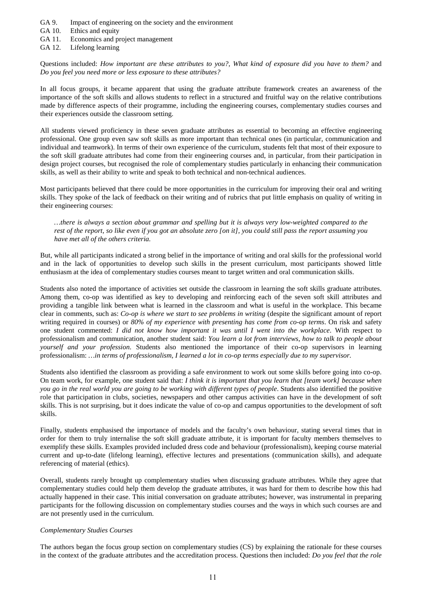- GA 9. Impact of engineering on the society and the environment
- GA 10. Ethics and equity
- GA 11. Economics and project management
- GA 12. Lifelong learning

Questions included: *How important are these attributes to you?, What kind of exposure did you have to them?* and *Do you feel you need more or less exposure to these attributes?*

In all focus groups, it became apparent that using the graduate attribute framework creates an awareness of the importance of the soft skills and allows students to reflect in a structured and fruitful way on the relative contributions made by difference aspects of their programme, including the engineering courses, complementary studies courses and their experiences outside the classroom setting.

All students viewed proficiency in these seven graduate attributes as essential to becoming an effective engineering professional. One group even saw soft skills as more important than technical ones (in particular, communication and individual and teamwork). In terms of their own experience of the curriculum, students felt that most of their exposure to the soft skill graduate attributes had come from their engineering courses and, in particular, from their participation in design project courses, but recognised the role of complementary studies particularly in enhancing their communication skills, as well as their ability to write and speak to both technical and non-technical audiences.

Most participants believed that there could be more opportunities in the curriculum for improving their oral and writing skills. They spoke of the lack of feedback on their writing and of rubrics that put little emphasis on quality of writing in their engineering courses:

*…there is always a section about grammar and spelling but it is always very low-weighted compared to the rest of the report, so like even if you got an absolute zero [on it], you could still pass the report assuming you have met all of the others criteria.*

But, while all participants indicated a strong belief in the importance of writing and oral skills for the professional world and in the lack of opportunities to develop such skills in the present curriculum, most participants showed little enthusiasm at the idea of complementary studies courses meant to target written and oral communication skills.

Students also noted the importance of activities set outside the classroom in learning the soft skills graduate attributes. Among them, co-op was identified as key to developing and reinforcing each of the seven soft skill attributes and providing a tangible link between what is learned in the classroom and what is useful in the workplace. This became clear in comments, such as: *Co-op is where we start to see problems in writing* (despite the significant amount of report writing required in courses) or *80% of my experience with presenting has come from co-op terms*. On risk and safety one student commented: *I did not know how important it was until I went into the workplace*. With respect to professionalism and communication, another student said: *You learn a lot from interviews, how to talk to people about yourself and your profession*. Students also mentioned the importance of their co-op supervisors in learning professionalism: *…in terms of professionalism, I learned a lot in co-op terms especially due to my supervisor.*

Students also identified the classroom as providing a safe environment to work out some skills before going into co-op. On team work, for example, one student said that: *I think it is important that you learn that [team work] because when you go in the real world you are going to be working with different types of people*. Students also identified the positive role that participation in clubs, societies, newspapers and other campus activities can have in the development of soft skills. This is not surprising, but it does indicate the value of co-op and campus opportunities to the development of soft skills.

Finally, students emphasised the importance of models and the faculty's own behaviour, stating several times that in order for them to truly internalise the soft skill graduate attribute, it is important for faculty members themselves to exemplify these skills. Examples provided included dress code and behaviour (professionalism), keeping course material current and up-to-date (lifelong learning), effective lectures and presentations (communication skills), and adequate referencing of material (ethics).

Overall, students rarely brought up complementary studies when discussing graduate attributes. While they agree that complementary studies could help them develop the graduate attributes, it was hard for them to describe how this had actually happened in their case. This initial conversation on graduate attributes; however, was instrumental in preparing participants for the following discussion on complementary studies courses and the ways in which such courses are and are not presently used in the curriculum.

#### *Complementary Studies Courses*

The authors began the focus group section on complementary studies (CS) by explaining the rationale for these courses in the context of the graduate attributes and the accreditation process. Questions then included: *Do you feel that the role*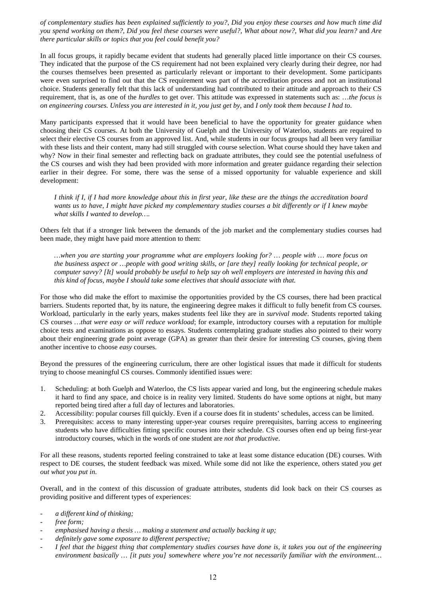*of complementary studies has been explained sufficiently to you?*, *Did you enjoy these courses and how much time did you spend working on them?*, *Did you feel these courses were useful?*, *What about now?*, *What did you learn?* and *Are there particular skills or topics that you feel could benefit you?*

In all focus groups, it rapidly became evident that students had generally placed little importance on their CS courses. They indicated that the purpose of the CS requirement had not been explained very clearly during their degree, nor had the courses themselves been presented as particularly relevant or important to their development. Some participants were even surprised to find out that the CS requirement was part of the accreditation process and not an institutional choice. Students generally felt that this lack of understanding had contributed to their attitude and approach to their CS requirement, that is, as one of the *hurdles* to get over. This attitude was expressed in statements such as: …*the focus is on engineering courses. Unless you are interested in it, you just get by*, and *I only took them because I had to*.

Many participants expressed that it would have been beneficial to have the opportunity for greater guidance when choosing their CS courses. At both the University of Guelph and the University of Waterloo, students are required to select their elective CS courses from an approved list. And, while students in our focus groups had all been very familiar with these lists and their content, many had still struggled with course selection. What course should they have taken and why? Now in their final semester and reflecting back on graduate attributes, they could see the potential usefulness of the CS courses and wish they had been provided with more information and greater guidance regarding their selection earlier in their degree. For some, there was the sense of a missed opportunity for valuable experience and skill development:

*I think if I, if I had more knowledge about this in first year, like these are the things the accreditation board wants us to have, I might have picked my complementary studies courses a bit differently or if I knew maybe what skills I wanted to develop….*

Others felt that if a stronger link between the demands of the job market and the complementary studies courses had been made, they might have paid more attention to them:

*…when you are starting your programme what are employers looking for? … people with … more focus on the business aspect or …people with good writing skills, or [are they] really looking for technical people, or computer savvy? [It] would probably be useful to help say oh well employers are interested in having this and this kind of focus, maybe I should take some electives that should associate with that.*

For those who did make the effort to maximise the opportunities provided by the CS courses, there had been practical barriers. Students reported that, by its nature, the engineering degree makes it difficult to fully benefit from CS courses. Workload, particularly in the early years, makes students feel like they are in *survival mode*. Students reported taking CS courses *…that were easy or will reduce workload*; for example, introductory courses with a reputation for multiple choice tests and examinations as oppose to essays. Students contemplating graduate studies also pointed to their worry about their engineering grade point average (GPA) as greater than their desire for interesting CS courses, giving them another incentive to choose *easy* courses.

Beyond the pressures of the engineering curriculum, there are other logistical issues that made it difficult for students trying to choose meaningful CS courses. Commonly identified issues were:

- 1. Scheduling: at both Guelph and Waterloo, the CS lists appear varied and long, but the engineering schedule makes it hard to find any space, and choice is in reality very limited. Students do have some options at night, but many reported being tired after a full day of lectures and laboratories.
- 2. Accessibility: popular courses fill quickly. Even if a course does fit in students' schedules, access can be limited.
- 3. Prerequisites: access to many interesting upper-year courses require prerequisites, barring access to engineering students who have difficulties fitting specific courses into their schedule. CS courses often end up being first-year introductory courses, which in the words of one student are *not that productive*.

For all these reasons, students reported feeling constrained to take at least some distance education (DE) courses. With respect to DE courses, the student feedback was mixed. While some did not like the experience, others stated *you get out what you put in*.

Overall, and in the context of this discussion of graduate attributes, students did look back on their CS courses as providing positive and different types of experiences:

- *a different kind of thinking;*
- *free form;*
- *emphasised having a thesis … making a statement and actually backing it up;*
- *definitely gave some exposure to different perspective;*
- *I feel that the biggest thing that complementary studies courses have done is, it takes you out of the engineering environment basically … [it puts you] somewhere where you're not necessarily familiar with the environment…*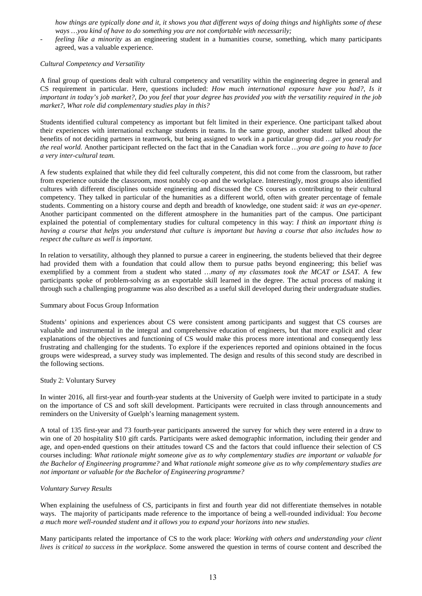*how things are typically done and it, it shows you that different ways of doing things and highlights some of these ways …you kind of have to do something you are not comfortable with necessarily;*

- *feeling like a minority* as an engineering student in a humanities course, something, which many participants agreed, was a valuable experience.

## *Cultural Competency and Versatility*

A final group of questions dealt with cultural competency and versatility within the engineering degree in general and CS requirement in particular. Here, questions included: *How much international exposure have you had?*, *Is it important in today's job market?*, *Do you feel that your degree has provided you with the versatility required in the job market?*, *What role did complementary studies play in this?*

Students identified cultural competency as important but felt limited in their experience. One participant talked about their experiences with international exchange students in teams. In the same group, another student talked about the benefits of not deciding partners in teamwork, but being assigned to work in a particular group did *…get you ready for the real world.* Another participant reflected on the fact that in the Canadian work force *…you are going to have to face a very inter-cultural team.*

A few students explained that while they did feel culturally *competent*, this did not come from the classroom, but rather from experience outside the classroom, most notably co-op and the workplace. Interestingly, most groups also identified cultures with different disciplines outside engineering and discussed the CS courses as contributing to their cultural competency. They talked in particular of the humanities as a different world, often with greater percentage of female students. Commenting on a history course and depth and breadth of knowledge, one student said: *it was an eye-opener.* Another participant commented on the different atmosphere in the humanities part of the campus. One participant explained the potential of complementary studies for cultural competency in this way: *I think an important thing is having a course that helps you understand that culture is important but having a course that also includes how to respect the culture as well is important.*

In relation to versatility, although they planned to pursue a career in engineering, the students believed that their degree had provided them with a foundation that could allow them to pursue paths beyond engineering; this belief was exemplified by a comment from a student who stated *…many of my classmates took the MCAT or LSAT.* A few participants spoke of problem-solving as an exportable skill learned in the degree. The actual process of making it through such a challenging programme was also described as a useful skill developed during their undergraduate studies.

#### Summary about Focus Group Information

Students' opinions and experiences about CS were consistent among participants and suggest that CS courses are valuable and instrumental in the integral and comprehensive education of engineers, but that more explicit and clear explanations of the objectives and functioning of CS would make this process more intentional and consequently less frustrating and challenging for the students. To explore if the experiences reported and opinions obtained in the focus groups were widespread, a survey study was implemented. The design and results of this second study are described in the following sections.

#### Study 2: Voluntary Survey

In winter 2016, all first-year and fourth-year students at the University of Guelph were invited to participate in a study on the importance of CS and soft skill development. Participants were recruited in class through announcements and reminders on the University of Guelph's learning management system.

A total of 135 first-year and 73 fourth-year participants answered the survey for which they were entered in a draw to win one of 20 hospitality \$10 gift cards. Participants were asked demographic information, including their gender and age, and open-ended questions on their attitudes toward CS and the factors that could influence their selection of CS courses including: *What rationale might someone give as to why complementary studies are important or valuable for the Bachelor of Engineering programme?* and *What rationale might someone give as to why complementary studies are not important or valuable for the Bachelor of Engineering programme?*

# *Voluntary Survey Results*

When explaining the usefulness of CS, participants in first and fourth year did not differentiate themselves in notable ways. The majority of participants made reference to the importance of being a well-rounded individual: *You become a much more well-rounded student and it allows you to expand your horizons into new studies.*

Many participants related the importance of CS to the work place: *Working with others and understanding your client lives is critical to success in the workplace.* Some answered the question in terms of course content and described the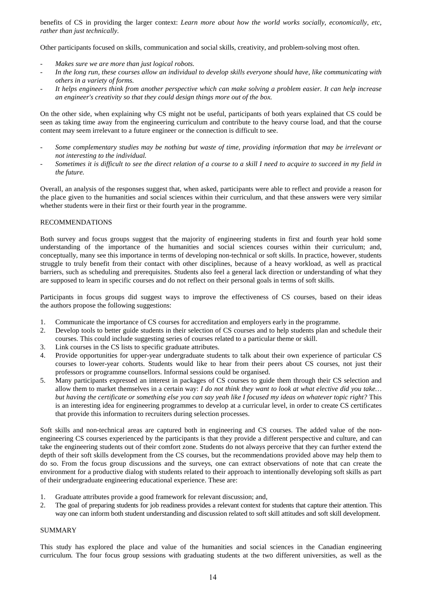benefits of CS in providing the larger context: *Learn more about how the world works socially, economically, etc, rather than just technically.*

Other participants focused on skills, communication and social skills, creativity, and problem-solving most often.

- *Makes sure we are more than just logical robots.*
- *In the long run, these courses allow an individual to develop skills everyone should have, like communicating with others in a variety of forms.*
- *It helps engineers think from another perspective which can make solving a problem easier. It can help increase an engineer's creativity so that they could design things more out of the box.*

On the other side, when explaining why CS might not be useful, participants of both years explained that CS could be seen as taking time away from the engineering curriculum and contribute to the heavy course load, and that the course content may seem irrelevant to a future engineer or the connection is difficult to see.

- *Some complementary studies may be nothing but waste of time, providing information that may be irrelevant or not interesting to the individual.*
- *Sometimes it is difficult to see the direct relation of a course to a skill I need to acquire to succeed in my field in the future.*

Overall, an analysis of the responses suggest that, when asked, participants were able to reflect and provide a reason for the place given to the humanities and social sciences within their curriculum, and that these answers were very similar whether students were in their first or their fourth year in the programme.

## RECOMMENDATIONS

Both survey and focus groups suggest that the majority of engineering students in first and fourth year hold some understanding of the importance of the humanities and social sciences courses within their curriculum; and, conceptually, many see this importance in terms of developing non-technical or soft skills. In practice, however, students struggle to truly benefit from their contact with other disciplines, because of a heavy workload, as well as practical barriers, such as scheduling and prerequisites. Students also feel a general lack direction or understanding of what they are supposed to learn in specific courses and do not reflect on their personal goals in terms of soft skills.

Participants in focus groups did suggest ways to improve the effectiveness of CS courses, based on their ideas the authors propose the following suggestions:

- 1. Communicate the importance of CS courses for accreditation and employers early in the programme.<br>2. Develop tools to better guide students in their selection of CS courses and to help students plan and
- 2. Develop tools to better guide students in their selection of CS courses and to help students plan and schedule their courses. This could include suggesting series of courses related to a particular theme or skill.
- 3. Link courses in the CS lists to specific graduate attributes.
- 4. Provide opportunities for upper-year undergraduate students to talk about their own experience of particular CS courses to lower-year cohorts. Students would like to hear from their peers about CS courses, not just their professors or programme counsellors. Informal sessions could be organised.
- 5. Many participants expressed an interest in packages of CS courses to guide them through their CS selection and allow them to market themselves in a certain way: *I do not think they want to look at what elective did you take… but having the certificate or something else you can say yeah like I focused my ideas on whatever topic right?* This is an interesting idea for engineering programmes to develop at a curricular level, in order to create CS certificates that provide this information to recruiters during selection processes.

Soft skills and non-technical areas are captured both in engineering and CS courses. The added value of the nonengineering CS courses experienced by the participants is that they provide a different perspective and culture, and can take the engineering students out of their comfort zone. Students do not always perceive that they can further extend the depth of their soft skills development from the CS courses, but the recommendations provided above may help them to do so. From the focus group discussions and the surveys, one can extract observations of note that can create the environment for a productive dialog with students related to their approach to intentionally developing soft skills as part of their undergraduate engineering educational experience. These are:

- 1. Graduate attributes provide a good framework for relevant discussion; and,
- 2. The goal of preparing students for job readiness provides a relevant context for students that capture their attention. This way one can inform both student understanding and discussion related to soft skill attitudes and soft skill development.

## SUMMARY

This study has explored the place and value of the humanities and social sciences in the Canadian engineering curriculum. The four focus group sessions with graduating students at the two different universities, as well as the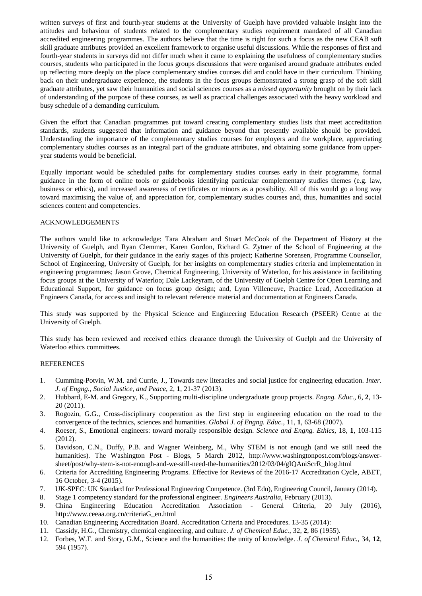written surveys of first and fourth-year students at the University of Guelph have provided valuable insight into the attitudes and behaviour of students related to the complementary studies requirement mandated of all Canadian accredited engineering programmes. The authors believe that the time is right for such a focus as the new CEAB soft skill graduate attributes provided an excellent framework to organise useful discussions. While the responses of first and fourth-year students in surveys did not differ much when it came to explaining the usefulness of complementary studies courses, students who participated in the focus groups discussions that were organised around graduate attributes ended up reflecting more deeply on the place complementary studies courses did and could have in their curriculum. Thinking back on their undergraduate experience, the students in the focus groups demonstrated a strong grasp of the soft skill graduate attributes, yet saw their humanities and social sciences courses as a *missed opportunity* brought on by their lack of understanding of the purpose of these courses, as well as practical challenges associated with the heavy workload and busy schedule of a demanding curriculum.

Given the effort that Canadian programmes put toward creating complementary studies lists that meet accreditation standards, students suggested that information and guidance beyond that presently available should be provided. Understanding the importance of the complementary studies courses for employers and the workplace, appreciating complementary studies courses as an integral part of the graduate attributes, and obtaining some guidance from upperyear students would be beneficial.

Equally important would be scheduled paths for complementary studies courses early in their programme, formal guidance in the form of online tools or guidebooks identifying particular complementary studies themes (e.g. law, business or ethics), and increased awareness of certificates or minors as a possibility. All of this would go a long way toward maximising the value of, and appreciation for, complementary studies courses and, thus, humanities and social sciences content and competencies.

# ACKNOWLEDGEMENTS

The authors would like to acknowledge: Tara Abraham and Stuart McCook of the Department of History at the University of Guelph, and Ryan Clemmer, Karen Gordon, Richard G. Zytner of the School of Engineering at the University of Guelph, for their guidance in the early stages of this project; Katherine Sorensen, Programme Counsellor, School of Engineering, University of Guelph, for her insights on complementary studies criteria and implementation in engineering programmes; Jason Grove, Chemical Engineering, University of Waterloo, for his assistance in facilitating focus groups at the University of Waterloo; Dale Lackeyram, of the University of Guelph Centre for Open Learning and Educational Support, for guidance on focus group design; and, Lynn Villeneuve, Practice Lead, Accreditation at Engineers Canada, for access and insight to relevant reference material and documentation at Engineers Canada.

This study was supported by the Physical Science and Engineering Education Research (PSEER) Centre at the University of Guelph.

This study has been reviewed and received ethics clearance through the University of Guelph and the University of Waterloo ethics committees.

### REFERENCES

- 1. Cumming-Potvin, W.M. and Currie, J., Towards new literacies and social justice for engineering education. *Inter. J. of Engng., Social Justice, and Peace*, 2, **1**, 21-37 (2013).
- 2. Hubbard, E-M. and Gregory, K., Supporting multi-discipline undergraduate group projects. *Engng. Educ.*, 6, **2**, 13- 20 (2011).
- 3. Rogozin, G.G., Cross-disciplinary cooperation as the first step in engineering education on the road to the convergence of the technics, sciences and humanities. *Global J. of Engng. Educ.*, 11, **1**, 63-68 (2007).
- 4. Roeser, S., Emotional engineers: toward morally responsible design. *Science and Engng. Ethics*, 18, **1**, 103-115 (2012).
- 5. Davidson, C.N., Duffy, P.B. and Wagner Weinberg, M., Why STEM is not enough (and we still need the humanities). The Washington Post - Blogs, 5 March 2012, http://www.washingtonpost.com/blogs/answersheet/post/why-stem-is-not-enough-and-we-still-need-the-humanities/2012/03/04/gIQAniScrR\_blog.html
- 6. Criteria for Accrediting Engineering Programs. Effective for Reviews of the 2016-17 Accreditation Cycle, ABET, 16 October, 3-4 (2015).
- 7. UK-SPEC: UK Standard for Professional Engineering Competence. (3rd Edn), Engineering Council, January (2014).
- 8. Stage 1 competency standard for the professional engineer. *Engineers Australia*, February (2013).
- 9. China Engineering Education Accreditation Association General Criteria, 20 July (2016), http://www.ceeaa.org.cn/criteriaG\_en.html
- 10. Canadian Engineering Accreditation Board. Accreditation Criteria and Procedures. 13-35 (2014):
- 11. Cassidy, H.G., Chemistry, chemical engineering, and culture. *J. of Chemical Educ.*, 32, **2**, 86 (1955).
- 12. Forbes, W.F. and Story, G.M., Science and the humanities: the unity of knowledge. *J. of Chemical Educ.*, 34, **12**, 594 (1957).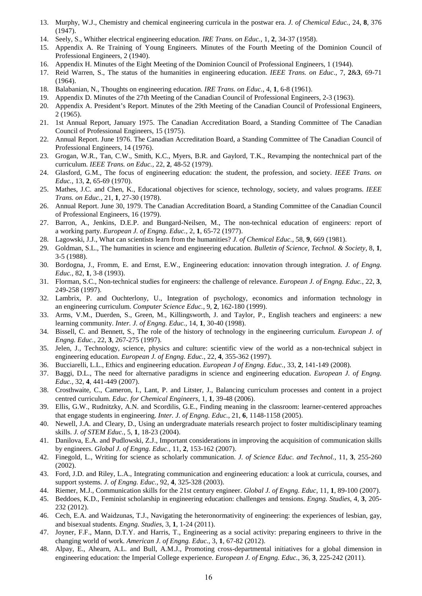- 13. Murphy, W.J., Chemistry and chemical engineering curricula in the postwar era. *J. of Chemical Educ.,* 24, **8**, 376 (1947).
- 14. Seely, S., Whither electrical engineering education. *IRE Trans. on Educ.*, 1, **2**, 34-37 (1958).
- 15. Appendix A. Re Training of Young Engineers. Minutes of the Fourth Meeting of the Dominion Council of Professional Engineers, 2 (1940).
- 16. Appendix H. Minutes of the Eight Meeting of the Dominion Council of Professional Engineers, 1 (1944).
- 17. Reid Warren, S., The status of the humanities in engineering education. *IEEE Trans. on Educ*., 7, **2**&**3**, 69-71 (1964).
- 18. Balabanian, N., Thoughts on engineering education. *IRE Trans. on Educ.*, 4, **1**, 6-8 (1961).
- 19. Appendix D. Minutes of the 27th Meeting of the Canadian Council of Professional Engineers, 2-3 (1963).
- 20. Appendix A. President's Report. Minutes of the 29th Meeting of the Canadian Council of Professional Engineers, 2 (1965).
- 21. 1st Annual Report, January 1975. The Canadian Accreditation Board, a Standing Committee of The Canadian Council of Professional Engineers, 15 (1975).
- 22. Annual Report. June 1976. The Canadian Accreditation Board, a Standing Committee of The Canadian Council of Professional Engineers, 14 (1976).
- 23. Grogan, W.R., Tan, C.W., Smith, K.C., Myers, B.R. and Gaylord, T.K., Revamping the nontechnical part of the curriculum. *IEEE Trans. on Educ.,* 22, **2**, 48-52 (1979).
- 24. Glasford, G.M., The focus of engineering education: the student, the profession, and society. *IEEE Trans. on Educ.*, 13, **2**, 65-69 (1970).
- 25. Mathes, J.C. and Chen, K., Educational objectives for science, technology, society, and values programs. *IEEE Trans. on Educ.*, 21, **1**, 27-30 (1978).
- 26. Annual Report. June 30, 1979. The Canadian Accreditation Board, a Standing Committee of the Canadian Council of Professional Engineers, 16 (1979).
- 27. Barron, A., Jenkins, D.E.P. and Bungard-Neilsen, M., The non-technical education of engineers: report of a working party. *European J. of Engng. Educ.,* 2, **1**, 65-72 (1977).
- 28. Lagowski, J.J., What can scientists learn from the humanities? *J. of Chemical Educ.*, 58, **9**, 669 (1981).
- 29. Goldman, S.L., The humanities in science and engineering education. *Bulletin of Science, Technol. & Society*, 8, **1**, 3-5 (1988).
- 30. Bordogna, J., Fromm, E. and Ernst, E.W., Engineering education: innovation through integration. *J. of Engng. Educ.*, 82, **1**, 3-8 (1993).
- 31. Florman, S.C., Non-technical studies for engineers: the challenge of relevance. *European J. of Engng. Educ.*, 22, **3**, 249-258 (1997).
- 32. Lambrix, P. and Ouchterlony, U., Integration of psychology, economics and information technology in an engineering curriculum. *Computer Science Educ.,* 9, **2**, 162-180 (1999).
- 33. Arms, V.M., Duerden, S., Green, M., Killingsworth, J. and Taylor, P., English teachers and engineers: a new learning community. *Inter. J. of Engng. Educ.,* 14, **1**, 30-40 (1998).
- 34. Bissell, C. and Bennett, S., The role of the history of technology in the engineering curriculum. *European J. of Engng. Educ.,* 22, **3**, 267-275 (1997).
- 35. Jelen, J., Technology, science, physics and culture: scientific view of the world as a non-technical subject in engineering education. *European J. of Engng. Educ.*, 22, **4**, 355-362 (1997).
- 36. Bucciarelli, L.L., Ethics and engineering education. *European J of Engng. Educ.,* 33, **2**, 141-149 (2008).
- 37. Baggi, D.L., The need for alternative paradigms in science and engineering education. *European J. of Engng. Educ.,* 32, **4**, 441-449 (2007).
- 38. Crosthwaite, C., Cameron, I., Lant, P. and Litster, J., Balancing curriculum processes and content in a project centred curriculum. *Educ. for Chemical Engineers*, 1, **1**, 39-48 (2006).
- 39. Ellis, G.W., Rudnitzky, A.N. and Scordilis, G.E., Finding meaning in the classroom: learner-centered approaches that engage students in engineering. *Inter. J. of Engng. Educ.*, 21, **6**, 1148-1158 (2005).
- 40. Newell, J.A. and Cleary, D., Using an undergraduate materials research project to foster multidisciplinary teaming skills. *J. of STEM Educ.*, 5, **1**, 18-23 (2004).
- 41. Danilova, E.A. and Pudlowski, Z.J., Important considerations in improving the acquisition of communication skills by engineers. *Global J. of Engng. Educ.,* 11, **2**, 153-162 (2007).
- 42. Finegold, L., Writing for science as scholarly communication. *J. of Science Educ. and Technol.*, 11, **3**, 255-260 (2002).
- 43. Ford, J.D. and Riley, L.A., Integrating communication and engineering education: a look at curricula, courses, and support systems. *J. of Engng. Educ.*, 92, **4**, 325-328 (2003).
- 44. Riemer, M.J., Communication skills for the 21st century engineer. *Global J. of Engng. Educ*, 11, **1**, 89-100 (2007).
- 45. Beddoes, K.D., Feminist scholarship in engineering education: challenges and tensions. *Engng. Studies*, 4, **3**, 205- 232 (2012).
- 46. Cech, E.A. and Waidzunas, T.J., Navigating the heteronormativity of engineering: the experiences of lesbian, gay, and bisexual students. *Engng. Studies*, 3, **1**, 1-24 (2011).
- 47. Joyner, F.F., Mann, D.T.Y. and Harris, T., Engineering as a social activity: preparing engineers to thrive in the changing world of work. *American J. of Engng. Educ.,* 3, **1**, 67-82 (2012).
- 48. Alpay, E., Ahearn, A.L. and Bull, A.M.J., Promoting cross-departmental initiatives for a global dimension in engineering education: the Imperial College experience. *European J. of Engng. Educ.*, 36, **3**, 225-242 (2011).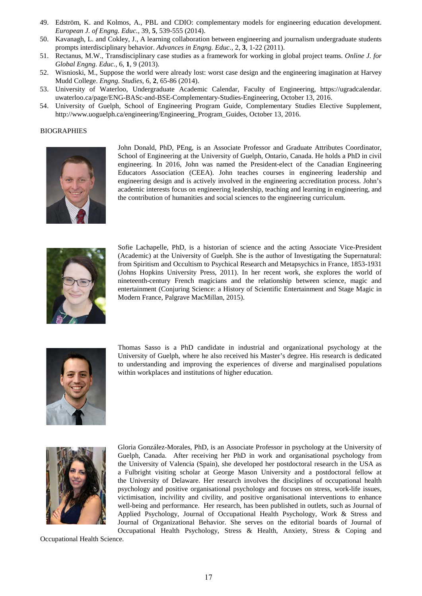- 49. Edström, K. and Kolmos, A., PBL and CDIO: complementary models for engineering education development. *European J. of Engng. Educ.,* 39, **5**, 539-555 (2014).
- 50. Kavanagh, L. and Cokley, J., A learning collaboration between engineering and journalism undergraduate students prompts interdisciplinary behavior. *Advances in Engng. Educ.*, 2, **3**, 1-22 (2011).
- 51. Rectanus, M.W., Transdisciplinary case studies as a framework for working in global project teams. *Online J. for Global Engng. Educ.,* 6, **1**, 9 (2013).
- 52. Wisnioski, M., Suppose the world were already lost: worst case design and the engineering imagination at Harvey Mudd College. *Engng. Studies*, 6, **2**, 65-86 (2014).
- 53. University of Waterloo, Undergraduate Academic Calendar, Faculty of Engineering, https://ugradcalendar. uwaterloo.ca/page/ENG-BASc-and-BSE-Complementary-Studies-Engineering, October 13, 2016.
- 54. University of Guelph, School of Engineering Program Guide, Complementary Studies Elective Supplement, http://www.uoguelph.ca/engineering/Engineering\_Program\_Guides, October 13, 2016.

#### BIOGRAPHIES



John Donald, PhD, PEng, is an Associate Professor and Graduate Attributes Coordinator, School of Engineering at the University of Guelph, Ontario, Canada. He holds a PhD in civil engineering. In 2016, John was named the President-elect of the Canadian Engineering Educators Association (CEEA). John teaches courses in engineering leadership and engineering design and is actively involved in the engineering accreditation process. John's academic interests focus on engineering leadership, teaching and learning in engineering, and the contribution of humanities and social sciences to the engineering curriculum.



Sofie Lachapelle, PhD, is a historian of science and the acting Associate Vice-President (Academic) at the University of Guelph. She is the author of Investigating the Supernatural: from Spiritism and Occultism to Psychical Research and Metapsychics in France, 1853-1931 (Johns Hopkins University Press, 2011). In her recent work, she explores the world of nineteenth-century French magicians and the relationship between science, magic and entertainment (Conjuring Science: a History of Scientific Entertainment and Stage Magic in Modern France, Palgrave MacMillan, 2015).



Thomas Sasso is a PhD candidate in industrial and organizational psychology at the University of Guelph, where he also received his Master's degree. His research is dedicated to understanding and improving the experiences of diverse and marginalised populations within workplaces and institutions of higher education.



Gloria González-Morales, PhD, is an Associate Professor in psychology at the University of Guelph, Canada. After receiving her PhD in work and organisational psychology from the University of Valencia (Spain), she developed her postdoctoral research in the USA as a Fulbright visiting scholar at George Mason University and a postdoctoral fellow at the University of Delaware. Her research involves the disciplines of occupational health psychology and positive organisational psychology and focuses on stress, work-life issues, victimisation, incivility and civility, and positive organisational interventions to enhance well-being and performance. Her research, has been published in outlets, such as Journal of Applied Psychology, Journal of Occupational Health Psychology, Work & Stress and Journal of Organizational Behavior. She serves on the editorial boards of Journal of Occupational Health Psychology, Stress & Health, Anxiety, Stress & Coping and

Occupational Health Science.